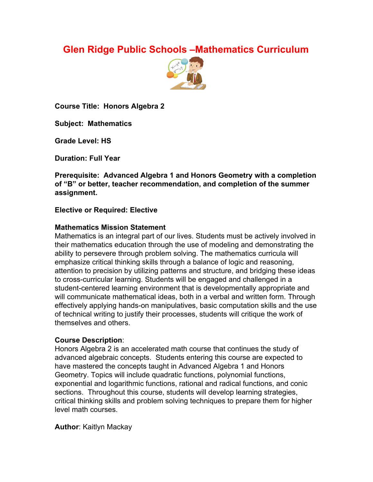# **Glen Ridge Public Schools –Mathematics Curriculum**



**Course Title: Honors Algebra 2**

**Subject: Mathematics**

**Grade Level: HS**

**Duration: Full Year**

**Prerequisite: Advanced Algebra 1 and Honors Geometry with a completion of "B" or better, teacher recommendation, and completion of the summer assignment.**

#### **Elective or Required: Elective**

#### **Mathematics Mission Statement**

Mathematics is an integral part of our lives. Students must be actively involved in their mathematics education through the use of modeling and demonstrating the ability to persevere through problem solving. The mathematics curricula will emphasize critical thinking skills through a balance of logic and reasoning, attention to precision by utilizing patterns and structure, and bridging these ideas to cross-curricular learning. Students will be engaged and challenged in a student-centered learning environment that is developmentally appropriate and will communicate mathematical ideas, both in a verbal and written form. Through effectively applying hands-on manipulatives, basic computation skills and the use of technical writing to justify their processes, students will critique the work of themselves and others.

## **Course Description**:

Honors Algebra 2 is an accelerated math course that continues the study of advanced algebraic concepts. Students entering this course are expected to have mastered the concepts taught in Advanced Algebra 1 and Honors Geometry. Topics will include quadratic functions, polynomial functions, exponential and logarithmic functions, rational and radical functions, and conic sections. Throughout this course, students will develop learning strategies, critical thinking skills and problem solving techniques to prepare them for higher level math courses.

**Author**: Kaitlyn Mackay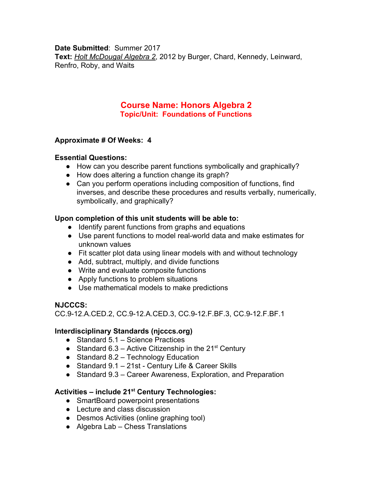#### **Date Submitted**: Summer 2017

**Text:** *Holt McDougal Algebra 2*, 2012 by Burger, Chard, Kennedy, Leinward, Renfro, Roby, and Waits

# **Course Name: Honors Algebra 2 Topic/Unit: Foundations of Functions**

#### **Approximate # Of Weeks: 4**

#### **Essential Questions:**

- How can you describe parent functions symbolically and graphically?
- How does altering a function change its graph?
- Can you perform operations including composition of functions, find inverses, and describe these procedures and results verbally, numerically, symbolically, and graphically?

#### **Upon completion of this unit students will be able to:**

- Identify parent functions from graphs and equations
- Use parent functions to model real-world data and make estimates for unknown values
- Fit scatter plot data using linear models with and without technology
- Add, subtract, multiply, and divide functions
- Write and evaluate composite functions
- Apply functions to problem situations
- Use mathematical models to make predictions

## **NJCCCS:**

CC.9-12.A.CED.2, CC.9-12.A.CED.3, CC.9-12.F.BF.3, CC.9-12.F.BF.1

#### **Interdisciplinary Standards (njcccs.org)**

- Standard 5.1 Science Practices
- Standard 6.3 Active Citizenship in the  $21<sup>st</sup>$  Century
- $\bullet$  Standard 8.2 Technology Education
- Standard 9.1 21st Century Life & Career Skills
- Standard 9.3 Career Awareness, Exploration, and Preparation

# **Activities – include 21 st Century Technologies:**

- SmartBoard powerpoint presentations
- Lecture and class discussion
- Desmos Activities (online graphing tool)
- Algebra Lab Chess Translations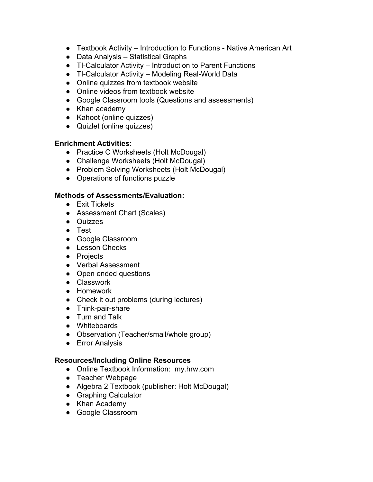- Textbook Activity Introduction to Functions Native American Art
- Data Analysis Statistical Graphs
- TI-Calculator Activity Introduction to Parent Functions
- TI-Calculator Activity Modeling Real-World Data
- Online quizzes from textbook website
- Online videos from textbook website
- Google Classroom tools (Questions and assessments)
- Khan academy
- Kahoot (online quizzes)
- Quizlet (online quizzes)

#### **Enrichment Activities**:

- Practice C Worksheets (Holt McDougal)
- Challenge Worksheets (Holt McDougal)
- Problem Solving Worksheets (Holt McDougal)
- Operations of functions puzzle

#### **Methods of Assessments/Evaluation:**

- Exit Tickets
- Assessment Chart (Scales)
- Quizzes
- Test
- Google Classroom
- Lesson Checks
- Projects
- Verbal Assessment
- Open ended questions
- Classwork
- Homework
- Check it out problems (during lectures)
- Think-pair-share
- Turn and Talk
- Whiteboards
- Observation (Teacher/small/whole group)
- Error Analysis

#### **Resources/Including Online Resources**

- Online Textbook Information: my.hrw.com
- Teacher Webpage
- Algebra 2 Textbook (publisher: Holt McDougal)
- Graphing Calculator
- Khan Academy
- Google Classroom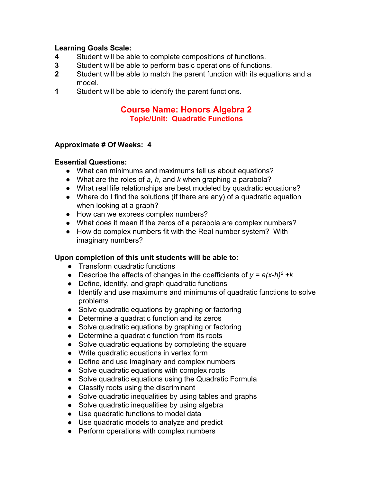# **Learning Goals Scale:**

- **4** Student will be able to complete compositions of functions.
- **3** Student will be able to perform basic operations of functions.
- **2** Student will be able to match the parent function with its equations and a model.
- **1** Student will be able to identify the parent functions.

# **Course Name: Honors Algebra 2 Topic/Unit: Quadratic Functions**

#### **Approximate # Of Weeks: 4**

#### **Essential Questions:**

- What can minimums and maximums tell us about equations?
- What are the roles of *a*, *h*, and *k* when graphing a parabola?
- What real life relationships are best modeled by quadratic equations?
- Where do I find the solutions (if there are any) of a quadratic equation when looking at a graph?
- How can we express complex numbers?
- What does it mean if the zeros of a parabola are complex numbers?
- How do complex numbers fit with the Real number system? With imaginary numbers?

- Transform quadratic functions
- Describe the effects of changes in the coefficients of  $y = a(x-h)^2 + k$
- Define, identify, and graph quadratic functions
- Identify and use maximums and minimums of quadratic functions to solve problems
- Solve quadratic equations by graphing or factoring
- Determine a quadratic function and its zeros
- Solve quadratic equations by graphing or factoring
- Determine a quadratic function from its roots
- Solve quadratic equations by completing the square
- Write quadratic equations in vertex form
- Define and use imaginary and complex numbers
- Solve quadratic equations with complex roots
- Solve quadratic equations using the Quadratic Formula
- Classify roots using the discriminant
- Solve quadratic inequalities by using tables and graphs
- Solve quadratic inequalities by using algebra
- Use quadratic functions to model data
- Use quadratic models to analyze and predict
- Perform operations with complex numbers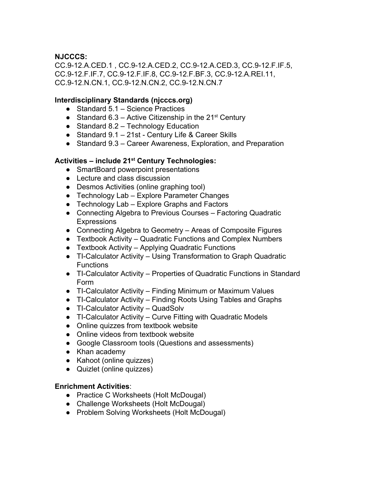CC.9-12.A.CED.1 , CC.9-12.A.CED.2, CC.9-12.A.CED.3, CC.9-12.F.IF.5, CC.9-12.F.IF.7, CC.9-12.F.IF.8, CC.9-12.F.BF.3, CC.9-12.A.REI.11, CC.9-12.N.CN.1, CC.9-12.N.CN.2, CC.9-12.N.CN.7

#### **Interdisciplinary Standards (njcccs.org)**

- Standard 5.1 Science Practices
- Standard 6.3 Active Citizenship in the  $21^{st}$  Century
- $\bullet$  Standard 8.2 Technology Education
- Standard 9.1 21st Century Life & Career Skills
- Standard 9.3 Career Awareness, Exploration, and Preparation

# **Activities – include 21 st Century Technologies:**

- SmartBoard powerpoint presentations
- Lecture and class discussion
- Desmos Activities (online graphing tool)
- Technology Lab Explore Parameter Changes
- Technology Lab Explore Graphs and Factors
- Connecting Algebra to Previous Courses Factoring Quadratic **Expressions**
- Connecting Algebra to Geometry Areas of Composite Figures
- Textbook Activity Quadratic Functions and Complex Numbers
- Textbook Activity Applying Quadratic Functions
- TI-Calculator Activity Using Transformation to Graph Quadratic **Functions**
- TI-Calculator Activity Properties of Quadratic Functions in Standard Form
- TI-Calculator Activity Finding Minimum or Maximum Values
- TI-Calculator Activity Finding Roots Using Tables and Graphs
- TI-Calculator Activity QuadSolv
- TI-Calculator Activity Curve Fitting with Quadratic Models
- Online quizzes from textbook website
- Online videos from textbook website
- Google Classroom tools (Questions and assessments)
- Khan academy
- Kahoot (online quizzes)
- Quizlet (online quizzes)

#### **Enrichment Activities**:

- Practice C Worksheets (Holt McDougal)
- Challenge Worksheets (Holt McDougal)
- Problem Solving Worksheets (Holt McDougal)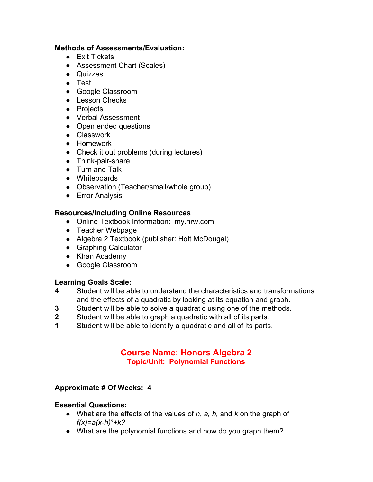### **Methods of Assessments/Evaluation:**

- Exit Tickets
- Assessment Chart (Scales)
- Quizzes
- Test
- Google Classroom
- Lesson Checks
- Projects
- Verbal Assessment
- Open ended questions
- Classwork
- Homework
- Check it out problems (during lectures)
- Think-pair-share
- Turn and Talk
- Whiteboards
- Observation (Teacher/small/whole group)
- **•** Error Analysis

#### **Resources/Including Online Resources**

- Online Textbook Information: my.hrw.com
- Teacher Webpage
- Algebra 2 Textbook (publisher: Holt McDougal)
- Graphing Calculator
- Khan Academy
- Google Classroom

# **Learning Goals Scale:**

- **4** Student will be able to understand the characteristics and transformations and the effects of a quadratic by looking at its equation and graph.
- **3** Student will be able to solve a quadratic using one of the methods.
- **2** Student will be able to graph a quadratic with all of its parts.
- **1** Student will be able to identify a quadratic and all of its parts.

# **Course Name: Honors Algebra 2 Topic/Unit: Polynomial Functions**

## **Approximate # Of Weeks: 4**

#### **Essential Questions:**

- What are the effects of the values of *n*, *a, h,* and *k* on the graph of *f(x)=a(x-h)<sup>n</sup>+k?*
- What are the polynomial functions and how do you graph them?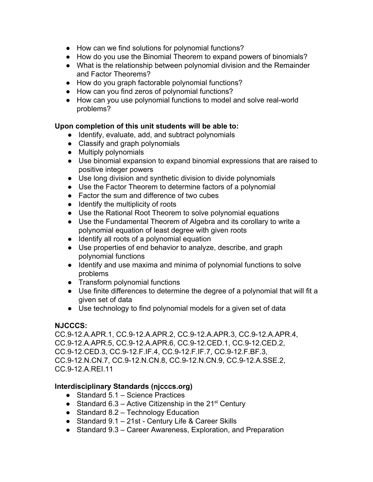- How can we find solutions for polynomial functions?
- How do you use the Binomial Theorem to expand powers of binomials?
- What is the relationship between polynomial division and the Remainder and Factor Theorems?
- How do you graph factorable polynomial functions?
- How can you find zeros of polynomial functions?
- How can you use polynomial functions to model and solve real-world problems?

#### **Upon completion of this unit students will be able to:**

- Identify, evaluate, add, and subtract polynomials
- Classify and graph polynomials
- Multiply polynomials
- Use binomial expansion to expand binomial expressions that are raised to positive integer powers
- Use long division and synthetic division to divide polynomials
- Use the Factor Theorem to determine factors of a polynomial
- Factor the sum and difference of two cubes
- Identify the multiplicity of roots
- Use the Rational Root Theorem to solve polynomial equations
- Use the Fundamental Theorem of Algebra and its corollary to write a polynomial equation of least degree with given roots
- Identify all roots of a polynomial equation
- Use properties of end behavior to analyze, describe, and graph polynomial functions
- Identify and use maxima and minima of polynomial functions to solve problems
- Transform polynomial functions
- Use finite differences to determine the degree of a polynomial that will fit a given set of data
- Use technology to find polynomial models for a given set of data

## **NJCCCS:**

CC.9-12.A.APR.1, CC.9-12.A.APR.2, CC.9-12.A.APR.3, CC.9-12.A.APR.4, CC.9-12.A.APR.5, CC.9-12.A.APR.6, CC.9-12.CED.1, CC.9-12.CED.2, CC.9-12.CED.3, CC.9-12.F.IF.4, CC.9-12.F.IF.7, CC.9-12.F.BF.3, CC.9-12.N.CN.7, CC.9-12.N.CN.8, CC.9-12.N.CN.9, CC.9-12.A.SSE.2, CC.9-12.A.REI.11

## **Interdisciplinary Standards (njcccs.org)**

- Standard 5.1 Science Practices
- Standard 6.3 Active Citizenship in the  $21<sup>st</sup>$  Century
- $\bullet$  Standard 8.2 Technology Education
- Standard 9.1 21st Century Life & Career Skills
- Standard 9.3 Career Awareness, Exploration, and Preparation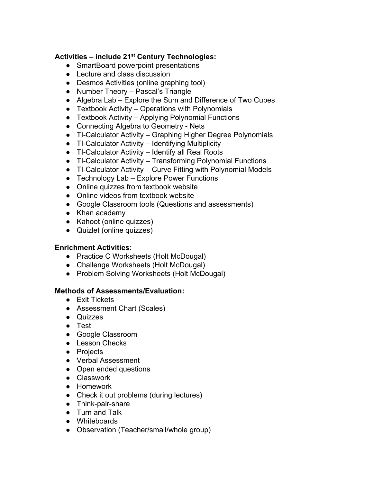# **Activities – include 21 st Century Technologies:**

- SmartBoard powerpoint presentations
- Lecture and class discussion
- Desmos Activities (online graphing tool)
- Number Theory Pascal's Triangle
- Algebra Lab Explore the Sum and Difference of Two Cubes
- $\bullet$  Textbook Activity Operations with Polynomials
- $\bullet$  Textbook Activity Applying Polynomial Functions
- Connecting Algebra to Geometry Nets
- TI-Calculator Activity Graphing Higher Degree Polynomials
- TI-Calculator Activity Identifying Multiplicity
- TI-Calculator Activity Identify all Real Roots
- TI-Calculator Activity Transforming Polynomial Functions
- TI-Calculator Activity Curve Fitting with Polynomial Models
- $\bullet$  Technology Lab Explore Power Functions
- Online quizzes from textbook website
- Online videos from textbook website
- Google Classroom tools (Questions and assessments)
- Khan academy
- Kahoot (online quizzes)
- Quizlet (online quizzes)

## **Enrichment Activities**:

- Practice C Worksheets (Holt McDougal)
- Challenge Worksheets (Holt McDougal)
- Problem Solving Worksheets (Holt McDougal)

- Exit Tickets
- Assessment Chart (Scales)
- Quizzes
- Test
- Google Classroom
- Lesson Checks
- Projects
- Verbal Assessment
- Open ended questions
- Classwork
- Homework
- Check it out problems (during lectures)
- Think-pair-share
- Turn and Talk
- Whiteboards
- Observation (Teacher/small/whole group)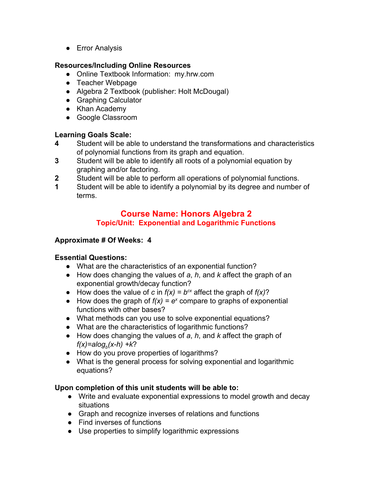● Error Analysis

# **Resources/Including Online Resources**

- Online Textbook Information: my.hrw.com
- Teacher Webpage
- Algebra 2 Textbook (publisher: Holt McDougal)
- Graphing Calculator
- Khan Academy
- Google Classroom

# **Learning Goals Scale:**

- **4** Student will be able to understand the transformations and characteristics of polynomial functions from its graph and equation.
- **3** Student will be able to identify all roots of a polynomial equation by graphing and/or factoring.
- **2** Student will be able to perform all operations of polynomial functions.
- **1** Student will be able to identify a polynomial by its degree and number of terms.

# **Course Name: Honors Algebra 2 Topic/Unit: Exponential and Logarithmic Functions**

# **Approximate # Of Weeks: 4**

# **Essential Questions:**

- What are the characteristics of an exponential function?
- How does changing the values of *a*, *h*, and *k* affect the graph of an exponential growth/decay function?
- How does the value of *c* in  $f(x) = b^{cx}$  affect the graph of  $f(x)$ ?
- How does the graph of  $f(x) = e^x$  compare to graphs of exponential functions with other bases?
- What methods can you use to solve exponential equations?
- What are the characteristics of logarithmic functions?
- How does changing the values of *a*, *h*, and *k* affect the graph of *f(x)=alog<sup>b</sup> (x-h) +k*?
- How do you prove properties of logarithms?
- What is the general process for solving exponential and logarithmic equations?

- Write and evaluate exponential expressions to model growth and decay situations
- Graph and recognize inverses of relations and functions
- Find inverses of functions
- Use properties to simplify logarithmic expressions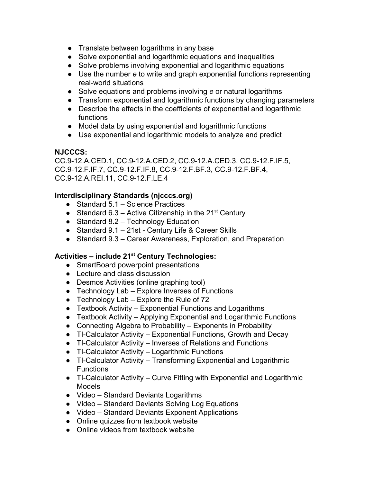- Translate between logarithms in any base
- Solve exponential and logarithmic equations and inequalities
- Solve problems involving exponential and logarithmic equations
- Use the number *e* to write and graph exponential functions representing real-world situations
- Solve equations and problems involving *e* or natural logarithms
- Transform exponential and logarithmic functions by changing parameters
- Describe the effects in the coefficients of exponential and logarithmic functions
- Model data by using exponential and logarithmic functions
- Use exponential and logarithmic models to analyze and predict

CC.9-12.A.CED.1, CC.9-12.A.CED.2, CC.9-12.A.CED.3, CC.9-12.F.IF.5, CC.9-12.F.IF.7, CC.9-12.F.IF.8, CC.9-12.F.BF.3, CC.9-12.F.BF.4, CC.9-12.A.REI.11, CC.9-12.F.LE.4

#### **Interdisciplinary Standards (njcccs.org)**

- Standard 5.1 Science Practices
- Standard 6.3 Active Citizenship in the  $21<sup>st</sup>$  Century
- Standard 8.2 Technology Education
- Standard 9.1 21st Century Life & Career Skills
- Standard 9.3 Career Awareness, Exploration, and Preparation

# **Activities – include 21 st Century Technologies:**

- SmartBoard powerpoint presentations
- Lecture and class discussion
- Desmos Activities (online graphing tool)
- Technology Lab Explore Inverses of Functions
- $\bullet$  Technology Lab Explore the Rule of 72
- Textbook Activity Exponential Functions and Logarithms
- Textbook Activity Applying Exponential and Logarithmic Functions
- Connecting Algebra to Probability Exponents in Probability
- TI-Calculator Activity Exponential Functions, Growth and Decay
- TI-Calculator Activity Inverses of Relations and Functions
- TI-Calculator Activity Logarithmic Functions
- TI-Calculator Activity Transforming Exponential and Logarithmic **Functions**
- TI-Calculator Activity Curve Fitting with Exponential and Logarithmic Models
- Video Standard Deviants Logarithms
- Video Standard Deviants Solving Log Equations
- Video Standard Deviants Exponent Applications
- Online quizzes from textbook website
- Online videos from textbook website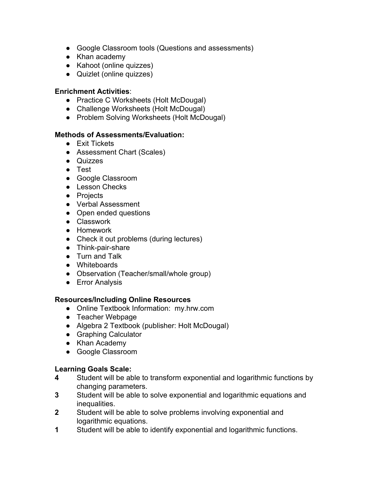- Google Classroom tools (Questions and assessments)
- Khan academy
- Kahoot (online quizzes)
- Quizlet (online quizzes)

#### **Enrichment Activities**:

- Practice C Worksheets (Holt McDougal)
- Challenge Worksheets (Holt McDougal)
- Problem Solving Worksheets (Holt McDougal)

#### **Methods of Assessments/Evaluation:**

- Exit Tickets
- Assessment Chart (Scales)
- Quizzes
- Test
- Google Classroom
- Lesson Checks
- Projects
- Verbal Assessment
- Open ended questions
- Classwork
- Homework
- Check it out problems (during lectures)
- Think-pair-share
- Turn and Talk
- Whiteboards
- Observation (Teacher/small/whole group)
- Error Analysis

#### **Resources/Including Online Resources**

- Online Textbook Information: my.hrw.com
- Teacher Webpage
- Algebra 2 Textbook (publisher: Holt McDougal)
- Graphing Calculator
- Khan Academy
- Google Classroom

# **Learning Goals Scale:**

- **4** Student will be able to transform exponential and logarithmic functions by changing parameters.
- **3** Student will be able to solve exponential and logarithmic equations and inequalities.
- **2** Student will be able to solve problems involving exponential and logarithmic equations.
- **1** Student will be able to identify exponential and logarithmic functions.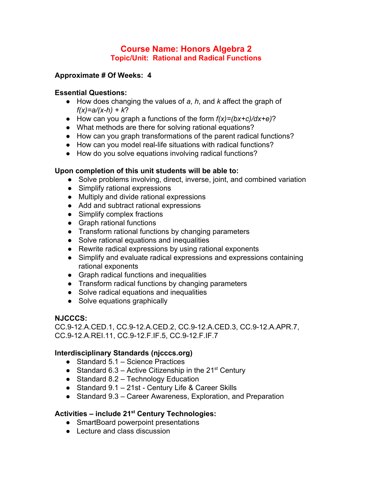# **Course Name: Honors Algebra 2 Topic/Unit: Rational and Radical Functions**

### **Approximate # Of Weeks: 4**

#### **Essential Questions:**

- How does changing the values of *a*, *h*, and *k* affect the graph of *f(x)=a/(x-h) + k*?
- How can you graph a functions of the form *f(x)=(bx+c)/dx+e)*?
- What methods are there for solving rational equations?
- How can you graph transformations of the parent radical functions?
- How can you model real-life situations with radical functions?
- How do you solve equations involving radical functions?

#### **Upon completion of this unit students will be able to:**

- Solve problems involving, direct, inverse, joint, and combined variation
- Simplify rational expressions
- Multiply and divide rational expressions
- Add and subtract rational expressions
- Simplify complex fractions
- Graph rational functions
- Transform rational functions by changing parameters
- Solve rational equations and inequalities
- Rewrite radical expressions by using rational exponents
- Simplify and evaluate radical expressions and expressions containing rational exponents
- Graph radical functions and inequalities
- Transform radical functions by changing parameters
- Solve radical equations and inequalities
- Solve equations graphically

## **NJCCCS:**

CC.9-12.A.CED.1, CC.9-12.A.CED.2, CC.9-12.A.CED.3, CC.9-12.A.APR.7, CC.9-12.A.REI.11, CC.9-12.F.IF.5, CC.9-12.F.IF.7

## **Interdisciplinary Standards (njcccs.org)**

- Standard 5.1 Science Practices
- Standard 6.3 Active Citizenship in the 21<sup>st</sup> Century
- Standard 8.2 Technology Education
- Standard 9.1 21st Century Life & Career Skills
- Standard 9.3 Career Awareness, Exploration, and Preparation

# **Activities – include 21 st Century Technologies:**

- SmartBoard powerpoint presentations
- Lecture and class discussion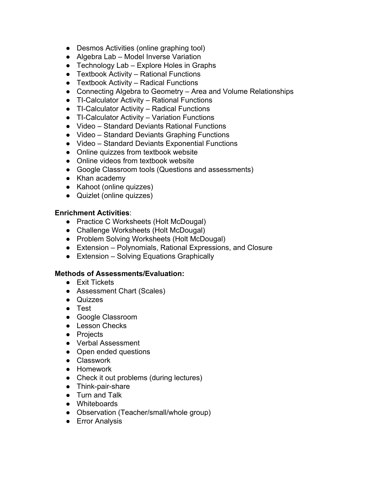- Desmos Activities (online graphing tool)
- Algebra Lab Model Inverse Variation
- Technology Lab Explore Holes in Graphs
- Textbook Activity Rational Functions
- Textbook Activity Radical Functions
- Connecting Algebra to Geometry Area and Volume Relationships
- TI-Calculator Activity Rational Functions
- TI-Calculator Activity Radical Functions
- TI-Calculator Activity Variation Functions
- Video Standard Deviants Rational Functions
- Video Standard Deviants Graphing Functions
- Video Standard Deviants Exponential Functions
- Online quizzes from textbook website
- Online videos from textbook website
- Google Classroom tools (Questions and assessments)
- Khan academy
- Kahoot (online quizzes)
- Quizlet (online quizzes)

#### **Enrichment Activities**:

- Practice C Worksheets (Holt McDougal)
- Challenge Worksheets (Holt McDougal)
- Problem Solving Worksheets (Holt McDougal)
- Extension Polynomials, Rational Expressions, and Closure
- Extension Solving Equations Graphically

- Exit Tickets
- Assessment Chart (Scales)
- Quizzes
- Test
- Google Classroom
- Lesson Checks
- Projects
- Verbal Assessment
- Open ended questions
- Classwork
- Homework
- Check it out problems (during lectures)
- Think-pair-share
- Turn and Talk
- Whiteboards
- Observation (Teacher/small/whole group)
- Error Analysis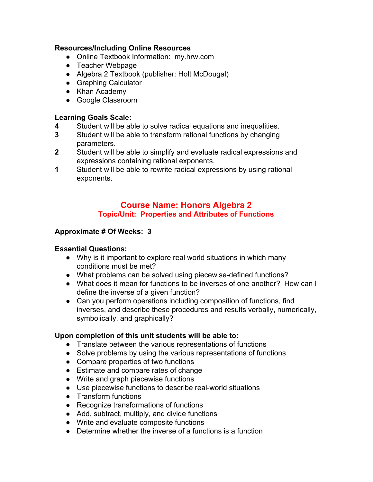- Online Textbook Information: my.hrw.com
- Teacher Webpage
- Algebra 2 Textbook (publisher: Holt McDougal)
- Graphing Calculator
- Khan Academy
- Google Classroom

# **Learning Goals Scale:**

- **4** Student will be able to solve radical equations and inequalities.
- **3** Student will be able to transform rational functions by changing parameters.
- **2** Student will be able to simplify and evaluate radical expressions and expressions containing rational exponents.
- **1** Student will be able to rewrite radical expressions by using rational exponents.

# **Course Name: Honors Algebra 2 Topic/Unit: Properties and Attributes of Functions**

#### **Approximate # Of Weeks: 3**

#### **Essential Questions:**

- Why is it important to explore real world situations in which many conditions must be met?
- What problems can be solved using piecewise-defined functions?
- What does it mean for functions to be inverses of one another? How can I define the inverse of a given function?
- Can you perform operations including composition of functions, find inverses, and describe these procedures and results verbally, numerically, symbolically, and graphically?

- Translate between the various representations of functions
- Solve problems by using the various representations of functions
- Compare properties of two functions
- Estimate and compare rates of change
- Write and graph piecewise functions
- Use piecewise functions to describe real-world situations
- Transform functions
- Recognize transformations of functions
- Add, subtract, multiply, and divide functions
- Write and evaluate composite functions
- Determine whether the inverse of a functions is a function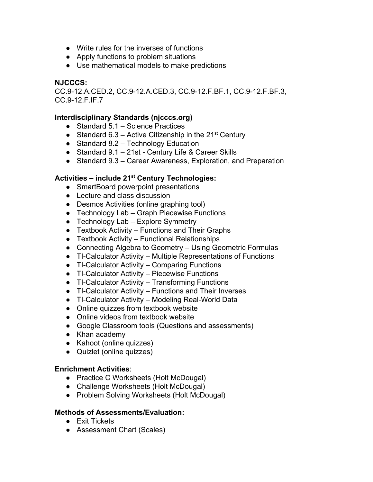- Write rules for the inverses of functions
- Apply functions to problem situations
- Use mathematical models to make predictions

CC.9-12.A.CED.2, CC.9-12.A.CED.3, CC.9-12.F.BF.1, CC.9-12.F.BF.3, CC.9-12.F.IF.7

#### **Interdisciplinary Standards (njcccs.org)**

- Standard 5.1 Science Practices
- Standard 6.3 Active Citizenship in the  $21^{st}$  Century
- Standard 8.2 Technology Education
- Standard 9.1 21st Century Life & Career Skills
- Standard 9.3 Career Awareness, Exploration, and Preparation

# **Activities – include 21 st Century Technologies:**

- SmartBoard powerpoint presentations
- Lecture and class discussion
- Desmos Activities (online graphing tool)
- Technology Lab Graph Piecewise Functions
- $\bullet$  Technology Lab Explore Symmetry
- Textbook Activity Functions and Their Graphs
- $\bullet$  Textbook Activity Functional Relationships
- Connecting Algebra to Geometry Using Geometric Formulas
- TI-Calculator Activity Multiple Representations of Functions
- TI-Calculator Activity Comparing Functions
- TI-Calculator Activity Piecewise Functions
- TI-Calculator Activity Transforming Functions
- TI-Calculator Activity Functions and Their Inverses
- TI-Calculator Activity Modeling Real-World Data
- Online quizzes from textbook website
- Online videos from textbook website
- Google Classroom tools (Questions and assessments)
- Khan academy
- Kahoot (online quizzes)
- Quizlet (online quizzes)

#### **Enrichment Activities**:

- Practice C Worksheets (Holt McDougal)
- Challenge Worksheets (Holt McDougal)
- Problem Solving Worksheets (Holt McDougal)

- Exit Tickets
- Assessment Chart (Scales)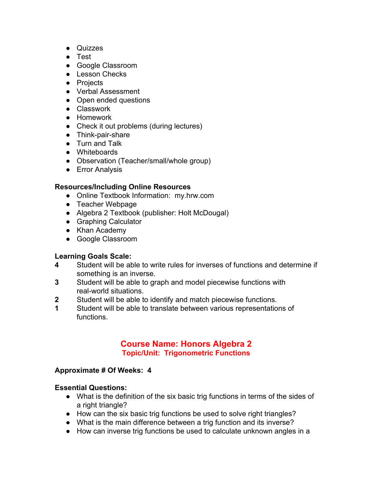- Quizzes
- Test
- Google Classroom
- Lesson Checks
- Projects
- Verbal Assessment
- Open ended questions
- Classwork
- Homework
- Check it out problems (during lectures)
- Think-pair-share
- Turn and Talk
- Whiteboards
- Observation (Teacher/small/whole group)
- Error Analysis

- Online Textbook Information: my.hrw.com
- Teacher Webpage
- Algebra 2 Textbook (publisher: Holt McDougal)
- Graphing Calculator
- Khan Academy
- Google Classroom

# **Learning Goals Scale:**

- **4** Student will be able to write rules for inverses of functions and determine if something is an inverse.
- **3** Student will be able to graph and model piecewise functions with real-world situations.
- **2** Student will be able to identify and match piecewise functions.
- **1** Student will be able to translate between various representations of functions.

# **Course Name: Honors Algebra 2 Topic/Unit: Trigonometric Functions**

#### **Approximate # Of Weeks: 4**

#### **Essential Questions:**

- What is the definition of the six basic trig functions in terms of the sides of a right triangle?
- How can the six basic trig functions be used to solve right triangles?
- What is the main difference between a trig function and its inverse?
- How can inverse trig functions be used to calculate unknown angles in a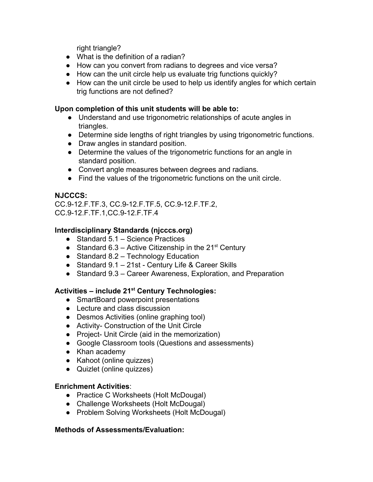right triangle?

- What is the definition of a radian?
- How can you convert from radians to degrees and vice versa?
- How can the unit circle help us evaluate trig functions quickly?
- How can the unit circle be used to help us identify angles for which certain trig functions are not defined?

#### **Upon completion of this unit students will be able to:**

- Understand and use trigonometric relationships of acute angles in triangles.
- Determine side lengths of right triangles by using trigonometric functions.
- Draw angles in standard position.
- Determine the values of the trigonometric functions for an angle in standard position.
- Convert angle measures between degrees and radians.
- Find the values of the trigonometric functions on the unit circle.

# **NJCCCS:**

CC.9-12.F.TF.3, CC.9-12.F.TF.5, CC.9-12.F.TF.2, CC.9-12.F.TF.1,CC.9-12.F.TF.4

# **Interdisciplinary Standards (njcccs.org)**

- Standard 5.1 Science Practices
- Standard 6.3 Active Citizenship in the  $21^{st}$  Century
- Standard 8.2 Technology Education
- Standard 9.1 21st Century Life & Career Skills
- Standard 9.3 Career Awareness, Exploration, and Preparation

# **Activities – include 21 st Century Technologies:**

- SmartBoard powerpoint presentations
- Lecture and class discussion
- Desmos Activities (online graphing tool)
- Activity- Construction of the Unit Circle
- Project- Unit Circle (aid in the memorization)
- Google Classroom tools (Questions and assessments)
- Khan academy
- Kahoot (online quizzes)
- Quizlet (online quizzes)

## **Enrichment Activities**:

- Practice C Worksheets (Holt McDougal)
- Challenge Worksheets (Holt McDougal)
- Problem Solving Worksheets (Holt McDougal)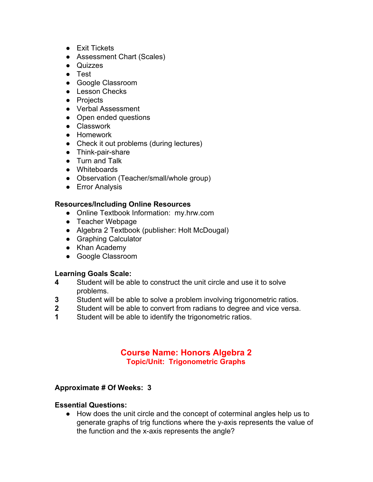- Exit Tickets
- Assessment Chart (Scales)
- Quizzes
- Test
- Google Classroom
- Lesson Checks
- Projects
- Verbal Assessment
- Open ended questions
- Classwork
- Homework
- Check it out problems (during lectures)
- Think-pair-share
- Turn and Talk
- Whiteboards
- Observation (Teacher/small/whole group)
- Error Analysis

- Online Textbook Information: my.hrw.com
- Teacher Webpage
- Algebra 2 Textbook (publisher: Holt McDougal)
- Graphing Calculator
- Khan Academy
- Google Classroom

# **Learning Goals Scale:**

- **4** Student will be able to construct the unit circle and use it to solve problems.
- **3** Student will be able to solve a problem involving trigonometric ratios.
- **2** Student will be able to convert from radians to degree and vice versa.
- **1** Student will be able to identify the trigonometric ratios.

# **Course Name: Honors Algebra 2 Topic/Unit: Trigonometric Graphs**

## **Approximate # Of Weeks: 3**

#### **Essential Questions:**

● How does the unit circle and the concept of coterminal angles help us to generate graphs of trig functions where the y-axis represents the value of the function and the x-axis represents the angle?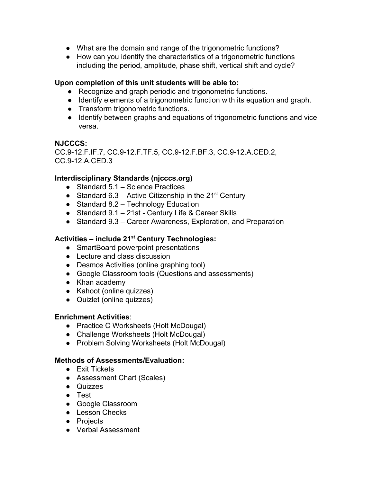- What are the domain and range of the trigonometric functions?
- How can you identify the characteristics of a trigonometric functions including the period, amplitude, phase shift, vertical shift and cycle?

#### **Upon completion of this unit students will be able to:**

- Recognize and graph periodic and trigonometric functions.
- Identify elements of a trigonometric function with its equation and graph.
- Transform trigonometric functions.
- Identify between graphs and equations of trigonometric functions and vice versa.

#### **NJCCCS:**

CC.9-12.F.IF.7, CC.9-12.F.TF.5, CC.9-12.F.BF.3, CC.9-12.A.CED.2, CC.9-12.A.CED.3

## **Interdisciplinary Standards (njcccs.org)**

- Standard 5.1 Science Practices
- Standard 6.3 Active Citizenship in the  $21^{st}$  Century
- $\bullet$  Standard 8.2 Technology Education
- Standard 9.1 21st Century Life & Career Skills
- Standard 9.3 Career Awareness, Exploration, and Preparation

# **Activities – include 21 st Century Technologies:**

- SmartBoard powerpoint presentations
- Lecture and class discussion
- Desmos Activities (online graphing tool)
- Google Classroom tools (Questions and assessments)
- Khan academy
- Kahoot (online quizzes)
- Quizlet (online quizzes)

#### **Enrichment Activities**:

- Practice C Worksheets (Holt McDougal)
- Challenge Worksheets (Holt McDougal)
- Problem Solving Worksheets (Holt McDougal)

- Exit Tickets
- Assessment Chart (Scales)
- Quizzes
- Test
- Google Classroom
- Lesson Checks
- Projects
- Verbal Assessment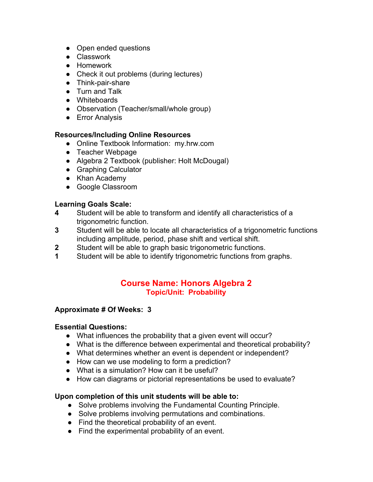- Open ended questions
- Classwork
- Homework
- Check it out problems (during lectures)
- Think-pair-share
- Turn and Talk
- Whiteboards
- Observation (Teacher/small/whole group)
- Error Analysis

- Online Textbook Information: my.hrw.com
- Teacher Webpage
- Algebra 2 Textbook (publisher: Holt McDougal)
- Graphing Calculator
- Khan Academy
- Google Classroom

# **Learning Goals Scale:**

- **4** Student will be able to transform and identify all characteristics of a trigonometric function.
- **3** Student will be able to locate all characteristics of a trigonometric functions including amplitude, period, phase shift and vertical shift.
- **2** Student will be able to graph basic trigonometric functions.
- **1** Student will be able to identify trigonometric functions from graphs.

## **Course Name: Honors Algebra 2 Topic/Unit: Probability**

#### **Approximate # Of Weeks: 3**

#### **Essential Questions:**

- What influences the probability that a given event will occur?
- What is the difference between experimental and theoretical probability?
- What determines whether an event is dependent or independent?
- How can we use modeling to form a prediction?
- What is a simulation? How can it be useful?
- How can diagrams or pictorial representations be used to evaluate?

- Solve problems involving the Fundamental Counting Principle.
- Solve problems involving permutations and combinations.
- Find the theoretical probability of an event.
- Find the experimental probability of an event.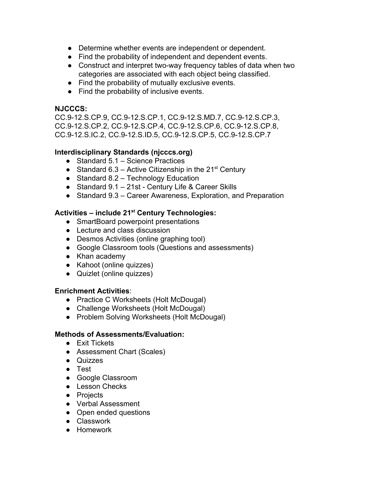- Determine whether events are independent or dependent.
- Find the probability of independent and dependent events.
- Construct and interpret two-way frequency tables of data when two categories are associated with each object being classified.
- Find the probability of mutually exclusive events.
- Find the probability of inclusive events.

CC.9-12.S.CP.9, CC.9-12.S.CP.1, CC.9-12.S.MD.7, CC.9-12.S.CP.3, CC.9-12.S.CP.2, CC.9-12.S.CP.4, CC.9-12.S.CP.6, CC.9-12.S.CP.8, CC.9-12.S.IC.2, CC.9-12.S.ID.5, CC.9-12.S.CP.5, CC.9-12.S.CP.7

## **Interdisciplinary Standards (njcccs.org)**

- Standard 5.1 Science Practices
- Standard 6.3 Active Citizenship in the  $21^{st}$  Century
- Standard 8.2 Technology Education
- Standard 9.1 21st Century Life & Career Skills
- Standard 9.3 Career Awareness, Exploration, and Preparation

# **Activities – include 21 st Century Technologies:**

- SmartBoard powerpoint presentations
- Lecture and class discussion
- Desmos Activities (online graphing tool)
- Google Classroom tools (Questions and assessments)
- Khan academy
- Kahoot (online quizzes)
- Quizlet (online quizzes)

#### **Enrichment Activities**:

- Practice C Worksheets (Holt McDougal)
- Challenge Worksheets (Holt McDougal)
- Problem Solving Worksheets (Holt McDougal)

- Exit Tickets
- Assessment Chart (Scales)
- Quizzes
- Test
- Google Classroom
- Lesson Checks
- Projects
- Verbal Assessment
- Open ended questions
- Classwork
- Homework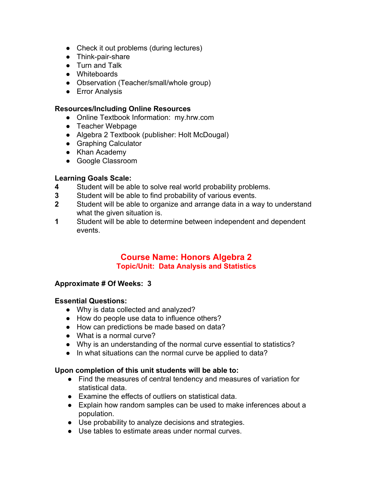- Check it out problems (during lectures)
- Think-pair-share
- Turn and Talk
- Whiteboards
- Observation (Teacher/small/whole group)
- Error Analysis

- Online Textbook Information: my.hrw.com
- Teacher Webpage
- Algebra 2 Textbook (publisher: Holt McDougal)
- Graphing Calculator
- Khan Academy
- Google Classroom

# **Learning Goals Scale:**

- **4** Student will be able to solve real world probability problems.
- **3** Student will be able to find probability of various events.
- **2** Student will be able to organize and arrange data in a way to understand what the given situation is.
- **1** Student will be able to determine between independent and dependent events.

# **Course Name: Honors Algebra 2 Topic/Unit: Data Analysis and Statistics**

#### **Approximate # Of Weeks: 3**

#### **Essential Questions:**

- Why is data collected and analyzed?
- How do people use data to influence others?
- How can predictions be made based on data?
- What is a normal curve?
- Why is an understanding of the normal curve essential to statistics?
- In what situations can the normal curve be applied to data?

- Find the measures of central tendency and measures of variation for statistical data.
- Examine the effects of outliers on statistical data.
- Explain how random samples can be used to make inferences about a population.
- Use probability to analyze decisions and strategies.
- Use tables to estimate areas under normal curves.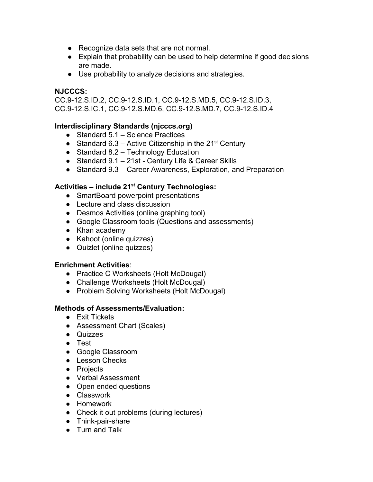- Recognize data sets that are not normal.
- Explain that probability can be used to help determine if good decisions are made.
- Use probability to analyze decisions and strategies.

CC.9-12.S.ID.2, CC.9-12.S.ID.1, CC.9-12.S.MD.5, CC.9-12.S.ID.3, CC.9-12.S.IC.1, CC.9-12.S.MD.6, CC.9-12.S.MD.7, CC.9-12.S.ID.4

## **Interdisciplinary Standards (njcccs.org)**

- Standard 5.1 Science Practices
- Standard 6.3 Active Citizenship in the  $21^{st}$  Century
- $\bullet$  Standard 8.2 Technology Education
- Standard 9.1 21st Century Life & Career Skills
- Standard 9.3 Career Awareness, Exploration, and Preparation

# **Activities – include 21 st Century Technologies:**

- SmartBoard powerpoint presentations
- Lecture and class discussion
- Desmos Activities (online graphing tool)
- Google Classroom tools (Questions and assessments)
- Khan academy
- Kahoot (online quizzes)
- Quizlet (online quizzes)

#### **Enrichment Activities**:

- Practice C Worksheets (Holt McDougal)
- Challenge Worksheets (Holt McDougal)
- Problem Solving Worksheets (Holt McDougal)

- Exit Tickets
- Assessment Chart (Scales)
- Quizzes
- Test
- Google Classroom
- Lesson Checks
- Projects
- Verbal Assessment
- Open ended questions
- Classwork
- Homework
- Check it out problems (during lectures)
- Think-pair-share
- Turn and Talk